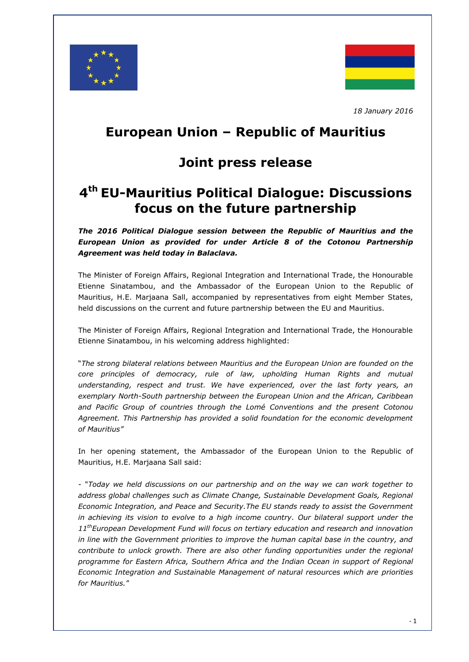



*18 January 2016*

## **European Union – Republic of Mauritius**

### **Joint press release**

# **4 th EU-Mauritius Political Dialogue: Discussions focus on the future partnership**

*The 2016 Political Dialogue session between the Republic of Mauritius and the European Union as provided for under Article 8 of the Cotonou Partnership Agreement was held today in Balaclava.*

The Minister of Foreign Affairs, Regional Integration and International Trade, the Honourable Etienne Sinatambou, and the Ambassador of the European Union to the Republic of Mauritius, H.E. Marjaana Sall, accompanied by representatives from eight Member States, held discussions on the current and future partnership between the EU and Mauritius.

The Minister of Foreign Affairs, Regional Integration and International Trade, the Honourable Etienne Sinatambou, in his welcoming address highlighted:

"*The strong bilateral relations between Mauritius and the European Union are founded on the core principles of democracy, rule of law, upholding Human Rights and mutual understanding, respect and trust. We have experienced, over the last forty years, an exemplary North-South partnership between the European Union and the African, Caribbean and Pacific Group of countries through the Lomé Conventions and the present Cotonou Agreement. This Partnership has provided a solid foundation for the economic development of Mauritius"*

In her opening statement, the Ambassador of the European Union to the Republic of Mauritius, H.E. Marjaana Sall said:

- "*Today we held discussions on our partnership and on the way we can work together to address global challenges such as Climate Change, Sustainable Development Goals, Regional Economic Integration, and Peace and Security.The EU stands ready to assist the Government in achieving its vision to evolve to a high income country. Our bilateral support under the 11thEuropean Development Fund will focus on tertiary education and research and innovation in line with the Government priorities to improve the human capital base in the country, and contribute to unlock growth. There are also other funding opportunities under the regional programme for Eastern Africa, Southern Africa and the Indian Ocean in support of Regional Economic Integration and Sustainable Management of natural resources which are priorities for Mauritius."*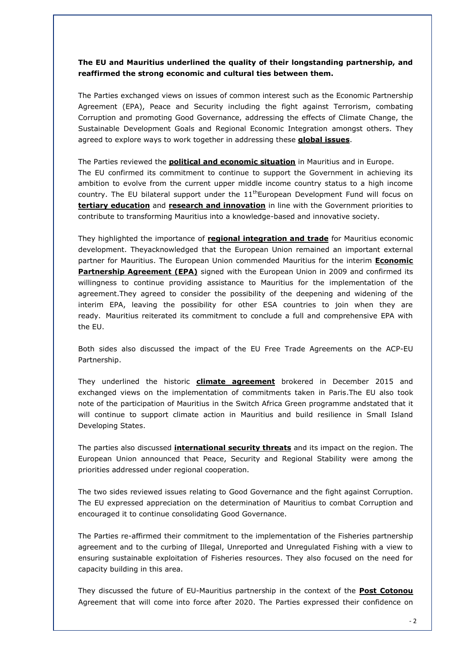#### **The EU and Mauritius underlined the quality of their longstanding partnership, and reaffirmed the strong economic and cultural ties between them.**

The Parties exchanged views on issues of common interest such as the Economic Partnership Agreement (EPA), Peace and Security including the fight against Terrorism, combating Corruption and promoting Good Governance, addressing the effects of Climate Change, the Sustainable Development Goals and Regional Economic Integration amongst others. They agreed to explore ways to work together in addressing these **global issues**.

The Parties reviewed the **political and economic situation** in Mauritius and in Europe. The EU confirmed its commitment to continue to support the Government in achieving its ambition to evolve from the current upper middle income country status to a high income country. The EU bilateral support under the  $11<sup>th</sup>$ European Development Fund will focus on **tertiary education** and **research and innovation** in line with the Government priorities to contribute to transforming Mauritius into a knowledge-based and innovative society.

They highlighted the importance of **regional integration and trade** for Mauritius economic development. Theyacknowledged that the European Union remained an important external partner for Mauritius. The European Union commended Mauritius for the interim **Economic Partnership Agreement (EPA)** signed with the European Union in 2009 and confirmed its willingness to continue providing assistance to Mauritius for the implementation of the agreement.They agreed to consider the possibility of the deepening and widening of the interim EPA, leaving the possibility for other ESA countries to join when they are ready. Mauritius reiterated its commitment to conclude a full and comprehensive EPA with the EU.

Both sides also discussed the impact of the EU Free Trade Agreements on the ACP-EU Partnership.

They underlined the historic **climate agreement** brokered in December 2015 and exchanged views on the implementation of commitments taken in Paris.The EU also took note of the participation of Mauritius in the Switch Africa Green programme andstated that it will continue to support climate action in Mauritius and build resilience in Small Island Developing States.

The parties also discussed **international security threats** and its impact on the region. The European Union announced that Peace, Security and Regional Stability were among the priorities addressed under regional cooperation.

The two sides reviewed issues relating to Good Governance and the fight against Corruption. The EU expressed appreciation on the determination of Mauritius to combat Corruption and encouraged it to continue consolidating Good Governance.

The Parties re-affirmed their commitment to the implementation of the Fisheries partnership agreement and to the curbing of Illegal, Unreported and Unregulated Fishing with a view to ensuring sustainable exploitation of Fisheries resources. They also focused on the need for capacity building in this area.

They discussed the future of EU-Mauritius partnership in the context of the **Post Cotonou** Agreement that will come into force after 2020. The Parties expressed their confidence on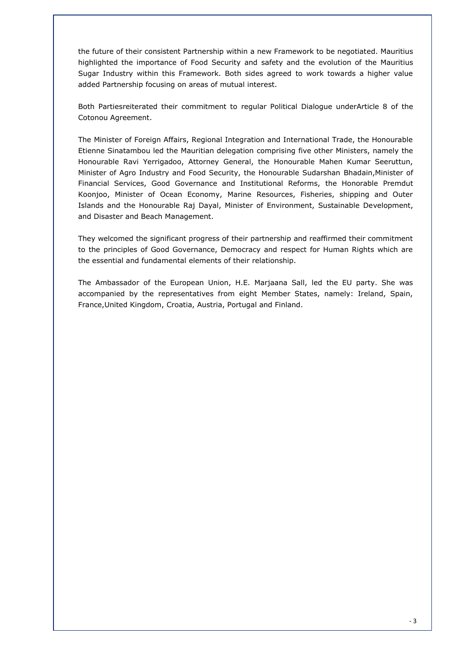the future of their consistent Partnership within a new Framework to be negotiated. Mauritius highlighted the importance of Food Security and safety and the evolution of the Mauritius Sugar Industry within this Framework. Both sides agreed to work towards a higher value added Partnership focusing on areas of mutual interest.

Both Partiesreiterated their commitment to regular Political Dialogue underArticle 8 of the Cotonou Agreement.

The Minister of Foreign Affairs, Regional Integration and International Trade, the Honourable Etienne Sinatambou led the Mauritian delegation comprising five other Ministers, namely the Honourable Ravi Yerrigadoo, Attorney General, the Honourable Mahen Kumar Seeruttun, Minister of Agro Industry and Food Security, the Honourable Sudarshan Bhadain,Minister of Financial Services, Good Governance and Institutional Reforms, the Honorable Premdut Koonjoo, Minister of Ocean Economy, Marine Resources, Fisheries, shipping and Outer Islands and the Honourable Raj Dayal, Minister of Environment, Sustainable Development, and Disaster and Beach Management.

They welcomed the significant progress of their partnership and reaffirmed their commitment to the principles of Good Governance, Democracy and respect for Human Rights which are the essential and fundamental elements of their relationship.

The Ambassador of the European Union, H.E. Marjaana Sall, led the EU party. She was accompanied by the representatives from eight Member States, namely: Ireland, Spain, France,United Kingdom, Croatia, Austria, Portugal and Finland.